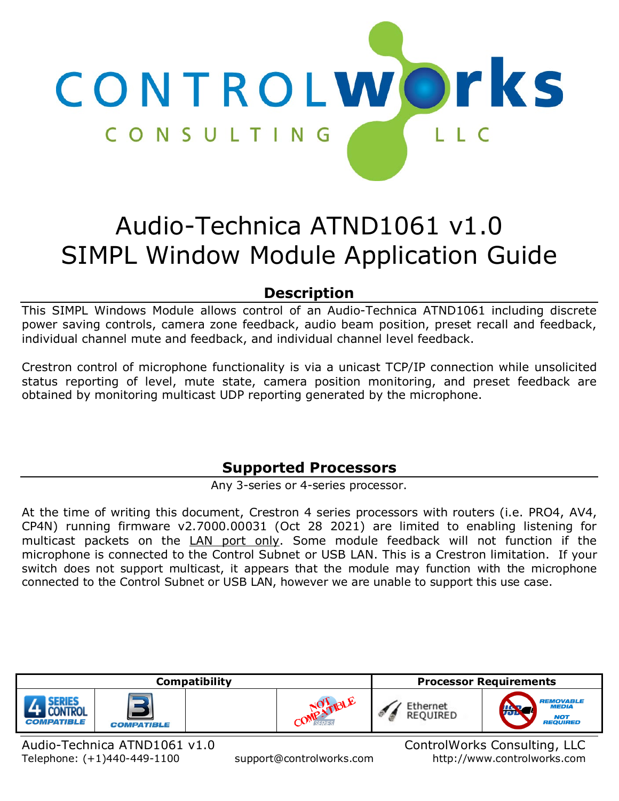

# Audio-Technica ATND1061 v1.0 SIMPL Window Module Application Guide

# **Description**

<span id="page-0-0"></span>This SIMPL Windows Module allows control of an Audio-Technica ATND1061 including discrete power saving controls, camera zone feedback, audio beam position, preset recall and feedback, individual channel mute and feedback, and individual channel level feedback.

Crestron control of microphone functionality is via a unicast TCP/IP connection while unsolicited status reporting of level, mute state, camera position monitoring, and preset feedback are obtained by monitoring multicast UDP reporting generated by the microphone.

# **Supported Processors**

Any 3-series or 4-series processor.

<span id="page-0-1"></span>At the time of writing this document, Crestron 4 series processors with routers (i.e. PRO4, AV4, CP4N) running firmware v2.7000.00031 (Oct 28 2021) are limited to enabling listening for multicast packets on the LAN port only. Some module feedback will not function if the microphone is connected to the Control Subnet or USB LAN. This is a Crestron limitation. If your switch does not support multicast, it appears that the module may function with the microphone connected to the Control Subnet or USB LAN, however we are unable to support this use case.



Telephone: (+1)440-449-1100 support@controlworks.com http://www.controlworks.com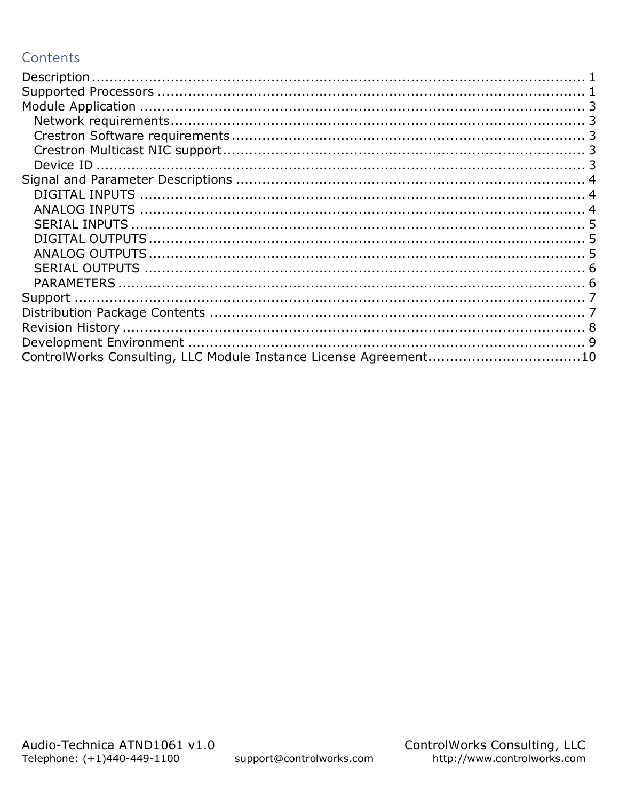# Contents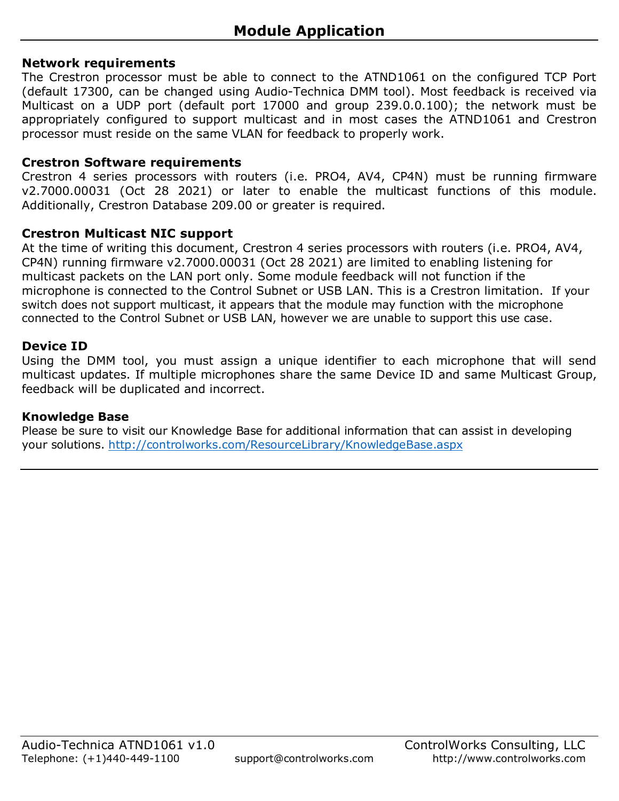### <span id="page-2-1"></span><span id="page-2-0"></span>**Network requirements**

The Crestron processor must be able to connect to the ATND1061 on the configured TCP Port (default 17300, can be changed using Audio-Technica DMM tool). Most feedback is received via Multicast on a UDP port (default port 17000 and group 239.0.0.100); the network must be appropriately configured to support multicast and in most cases the ATND1061 and Crestron processor must reside on the same VLAN for feedback to properly work.

#### <span id="page-2-2"></span>**Crestron Software requirements**

Crestron 4 series processors with routers (i.e. PRO4, AV4, CP4N) must be running firmware v2.7000.00031 (Oct 28 2021) or later to enable the multicast functions of this module. Additionally, Crestron Database 209.00 or greater is required.

### <span id="page-2-3"></span>**Crestron Multicast NIC support**

At the time of writing this document, Crestron 4 series processors with routers (i.e. PRO4, AV4, CP4N) running firmware v2.7000.00031 (Oct 28 2021) are limited to enabling listening for multicast packets on the LAN port only. Some module feedback will not function if the microphone is connected to the Control Subnet or USB LAN. This is a Crestron limitation. If your switch does not support multicast, it appears that the module may function with the microphone connected to the Control Subnet or USB LAN, however we are unable to support this use case.

### <span id="page-2-4"></span>**Device ID**

Using the DMM tool, you must assign a unique identifier to each microphone that will send multicast updates. If multiple microphones share the same Device ID and same Multicast Group, feedback will be duplicated and incorrect.

#### **Knowledge Base**

Please be sure to visit our Knowledge Base for additional information that can assist in developing your solutions.<http://controlworks.com/ResourceLibrary/KnowledgeBase.aspx>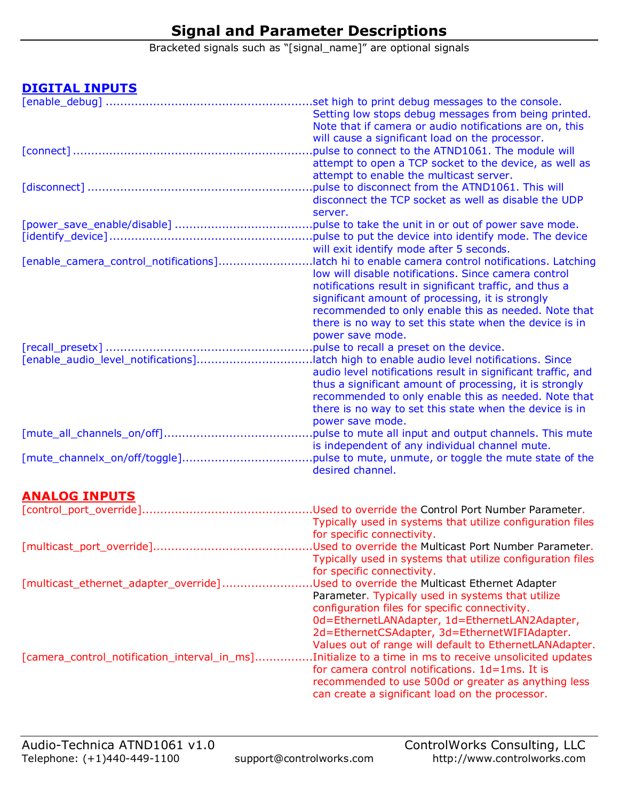# **Signal and Parameter Descriptions**

Bracketed signals such as "[signal\_name]" are optional signals

### <span id="page-3-1"></span><span id="page-3-0"></span>**DIGITAL INPUTS**

|                                                                                         | Setting low stops debug messages from being printed.         |
|-----------------------------------------------------------------------------------------|--------------------------------------------------------------|
|                                                                                         | Note that if camera or audio notifications are on, this      |
|                                                                                         | will cause a significant load on the processor.              |
|                                                                                         | pulse to connect to the ATND1061. The module will            |
|                                                                                         | attempt to open a TCP socket to the device, as well as       |
|                                                                                         |                                                              |
|                                                                                         | attempt to enable the multicast server.                      |
|                                                                                         | pulse to disconnect from the ATND1061. This will             |
|                                                                                         | disconnect the TCP socket as well as disable the UDP         |
|                                                                                         | server.                                                      |
|                                                                                         |                                                              |
|                                                                                         |                                                              |
|                                                                                         | will exit identify mode after 5 seconds.                     |
| [enable_camera_control_notifications]                                                   | latch hi to enable camera control notifications. Latching    |
|                                                                                         | low will disable notifications. Since camera control         |
|                                                                                         | notifications result in significant traffic, and thus a      |
|                                                                                         | significant amount of processing, it is strongly             |
|                                                                                         | recommended to only enable this as needed. Note that         |
|                                                                                         | there is no way to set this state when the device is in      |
|                                                                                         |                                                              |
|                                                                                         | power save mode.                                             |
|                                                                                         | .pulse to recall a preset on the device.                     |
| [enable_audio_level_notifications]latch high to enable audio level notifications. Since |                                                              |
|                                                                                         | audio level notifications result in significant traffic, and |
|                                                                                         | thus a significant amount of processing, it is strongly      |
|                                                                                         | recommended to only enable this as needed. Note that         |
|                                                                                         | there is no way to set this state when the device is in      |
|                                                                                         | power save mode.                                             |
|                                                                                         | pulse to mute all input and output channels. This mute       |
|                                                                                         | is independent of any individual channel mute.               |
|                                                                                         | pulse to mute, unmute, or toggle the mute state of the       |
|                                                                                         | desired channel.                                             |
|                                                                                         |                                                              |
| <b>ANALOG INPUTS</b>                                                                    |                                                              |
|                                                                                         |                                                              |
|                                                                                         | Typically used in systems that utilize configuration files   |
|                                                                                         | for specific connectivity                                    |

<span id="page-3-2"></span>

|                                              | for specific connectivity.                                 |
|----------------------------------------------|------------------------------------------------------------|
| [multicast_port_override]                    | Used to override the Multicast Port Number Parameter.      |
|                                              | Typically used in systems that utilize configuration files |
|                                              | for specific connectivity.                                 |
| [multicast_ethernet_adapter_override]        | Used to override the Multicast Ethernet Adapter.           |
|                                              | Parameter. Typically used in systems that utilize          |
|                                              | configuration files for specific connectivity.             |
|                                              | 0d=EthernetLANAdapter, 1d=EthernetLAN2Adapter,             |
|                                              | 2d=EthernetCSAdapter, 3d=EthernetWIFIAdapter.              |
|                                              | Values out of range will default to EthernetLANAdapter.    |
| [camera_control_notification_interval_in_ms] | Initialize to a time in ms to receive unsolicited updates. |
|                                              | for camera control notifications. 1d=1ms. It is            |
|                                              | recommended to use 500d or greater as anything less        |
|                                              | can create a significant load on the processor.            |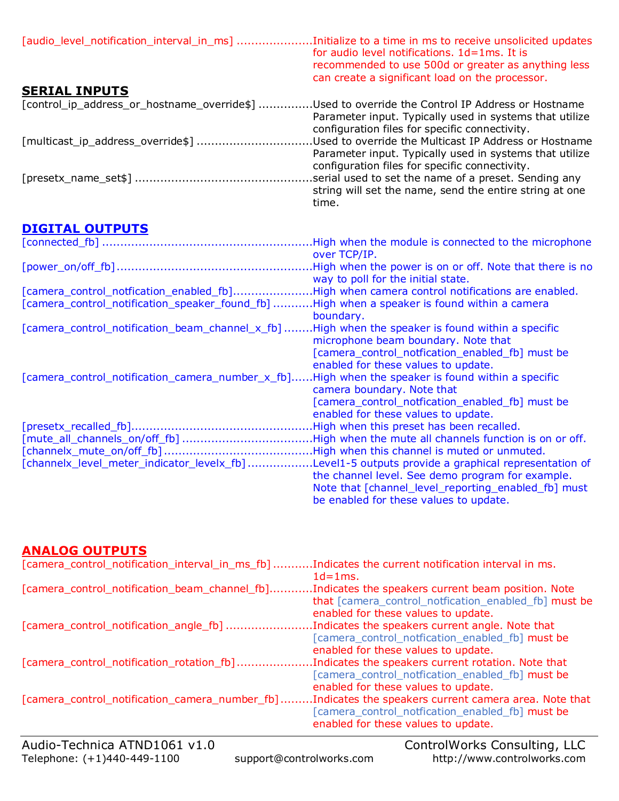<span id="page-4-0"></span>

| [audio_level_notification_interval_in_ms] Initialize to a time in ms to receive unsolicited updates | for audio level notifications. 1d=1ms. It is<br>recommended to use 500d or greater as anything less<br>can create a significant load on the processor.              |
|-----------------------------------------------------------------------------------------------------|---------------------------------------------------------------------------------------------------------------------------------------------------------------------|
| <b>SERIAL INPUTS</b>                                                                                |                                                                                                                                                                     |
| [control_ip_address_or_hostname_override\$] Used to override the Control IP Address or Hostname     | Parameter input. Typically used in systems that utilize<br>configuration files for specific connectivity.                                                           |
| [multicast_ip_address_override\$]                                                                   | Used to override the Multicast IP Address or Hostname.<br>Parameter input. Typically used in systems that utilize<br>configuration files for specific connectivity. |
|                                                                                                     | serial used to set the name of a preset. Sending any<br>string will set the name, send the entire string at one<br>time.                                            |

# <span id="page-4-1"></span>**DIGITAL OUTPUTS**

|                                                                                                   | High when the module is connected to the microphone. |
|---------------------------------------------------------------------------------------------------|------------------------------------------------------|
|                                                                                                   | over TCP/IP.                                         |
|                                                                                                   |                                                      |
|                                                                                                   | way to poll for the initial state.                   |
| [camera_control_notfication_enabled_fb]High when camera control notifications are enabled.        |                                                      |
| [camera_control_notification_speaker_found_fb] High when a speaker is found within a camera       |                                                      |
|                                                                                                   | boundary.                                            |
| [camera_control_notification_beam_channel_x_fb]                                                   | High when the speaker is found within a specific.    |
|                                                                                                   | microphone beam boundary. Note that                  |
|                                                                                                   | [camera_control_notfication_enabled_fb] must be      |
|                                                                                                   | enabled for these values to update.                  |
| [camera_control_notification_camera_number_x_fb]High when the speaker is found within a specific  |                                                      |
|                                                                                                   | camera boundary. Note that                           |
|                                                                                                   | [camera_control_notfication_enabled_fb] must be      |
|                                                                                                   | enabled for these values to update.                  |
|                                                                                                   | .High when this preset has been recalled.            |
| [mute_all_channels_on/off_fb] High when the mute all channels function is on or off.              |                                                      |
|                                                                                                   |                                                      |
| [channelx_level_meter_indicator_levelx_fb] Level1-5 outputs provide a graphical representation of |                                                      |
|                                                                                                   | the channel level. See demo program for example.     |
|                                                                                                   | Note that [channel_level_reporting_enabled_fb] must  |
|                                                                                                   | be enabled for these values to update.               |
|                                                                                                   |                                                      |

### <span id="page-4-2"></span>**ANALOG OUTPUTS**

|                                                 | $C_{\text{c}}$ $\frac{110}{2}$ $\frac{110}{2}$ $\frac{110}{2}$ $\frac{110}{2}$ $\frac{110}{2}$ |
|-------------------------------------------------|------------------------------------------------------------------------------------------------|
|                                                 | [camera_control_notfication_enabled_fb] must be<br>enabled for these values to update.         |
| [camera_control_notification_camera_number_fb]  | Indicates the speakers current camera area. Note that                                          |
|                                                 | [camera_control_notfication_enabled_fb] must be<br>enabled for these values to update.         |
| [camera_control_notification_rotation_fb]       | Indicates the speakers current rotation. Note that                                             |
|                                                 | enabled for these values to update.                                                            |
|                                                 | [camera_control_notfication_enabled_fb] must be                                                |
| [camera_control_notification_angle_fb]          | Indicates the speakers current angle. Note that                                                |
|                                                 | enabled for these values to update.                                                            |
|                                                 | that [camera_control_notfication_enabled_fb] must be                                           |
| [camera_control_notification_beam_channel_fb]   | Indicates the speakers current beam position. Note                                             |
| [camera_control_notification_interval_in_ms_fb] | Indicates the current notification interval in ms.<br>$1d = 1ms$ .                             |
|                                                 |                                                                                                |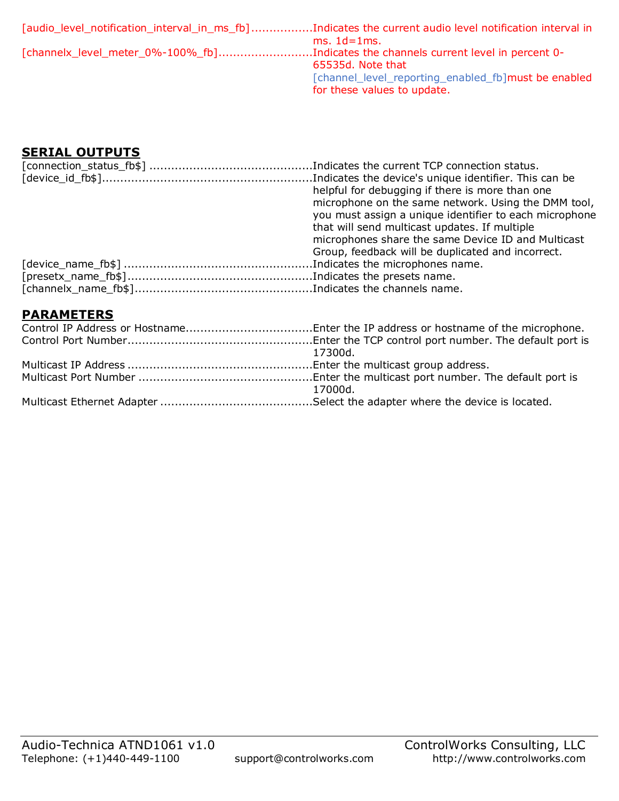| [audio_level_notification_interval_in_ms_fb]Indicates the current audio level notification interval in |                                                     |
|--------------------------------------------------------------------------------------------------------|-----------------------------------------------------|
|                                                                                                        | $ms. 1d=1ms.$                                       |
| [channelx_level_meter_0%-100%_fb]Indicates the channels current level in percent 0-                    |                                                     |
|                                                                                                        | 65535d. Note that                                   |
|                                                                                                        | [channel_level_reporting_enabled_fb]must be enabled |
|                                                                                                        | for these values to update.                         |

### <span id="page-5-0"></span>**SERIAL OUTPUTS**

| helpful for debugging if there is more than one        |
|--------------------------------------------------------|
| microphone on the same network. Using the DMM tool,    |
| you must assign a unique identifier to each microphone |
| that will send multicast updates. If multiple          |
| microphones share the same Device ID and Multicast     |
| Group, feedback will be duplicated and incorrect.      |
|                                                        |
|                                                        |
|                                                        |
|                                                        |

### <span id="page-5-1"></span>**PARAMETERS**

| 17300d. |
|---------|
|         |
| 17000d. |
|         |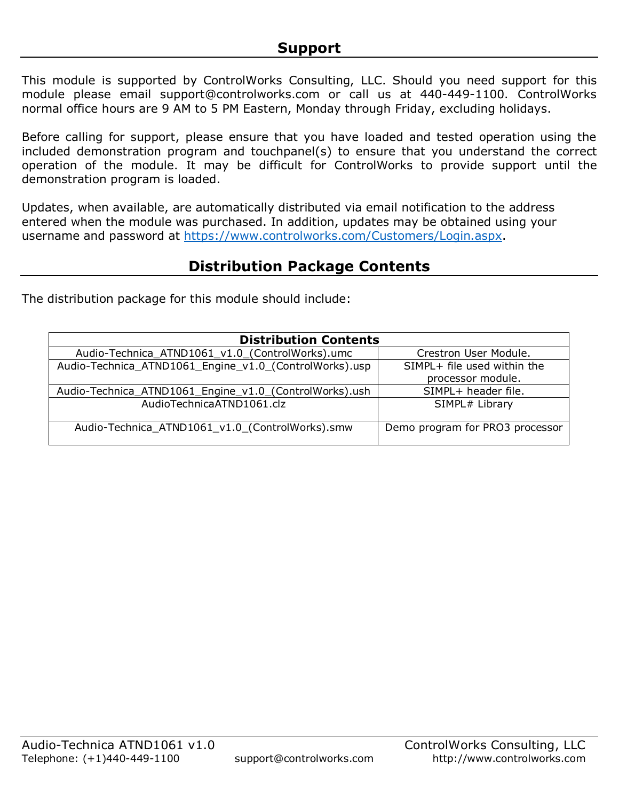<span id="page-6-0"></span>This module is supported by ControlWorks Consulting, LLC. Should you need support for this module please email support@controlworks.com or call us at 440-449-1100. ControlWorks normal office hours are 9 AM to 5 PM Eastern, Monday through Friday, excluding holidays.

Before calling for support, please ensure that you have loaded and tested operation using the included demonstration program and touchpanel(s) to ensure that you understand the correct operation of the module. It may be difficult for ControlWorks to provide support until the demonstration program is loaded.

Updates, when available, are automatically distributed via email notification to the address entered when the module was purchased. In addition, updates may be obtained using your username and password at [https://www.controlworks.com/Customers/Login.aspx.](https://www.controlworks.com/Customers/Login.aspx)

# **Distribution Package Contents**

<span id="page-6-1"></span>The distribution package for this module should include:

| <b>Distribution Contents</b>                           |                                                  |
|--------------------------------------------------------|--------------------------------------------------|
| Audio-Technica_ATND1061_v1.0_(ControlWorks).umc        | Crestron User Module.                            |
| Audio-Technica_ATND1061_Engine_v1.0_(ControlWorks).usp | SIMPL+ file used within the<br>processor module. |
| Audio-Technica_ATND1061_Engine_v1.0_(ControlWorks).ush | SIMPL+ header file.                              |
| AudioTechnicaATND1061.clz                              | SIMPL# Library                                   |
| Audio-Technica_ATND1061_v1.0_(ControlWorks).smw        | Demo program for PRO3 processor                  |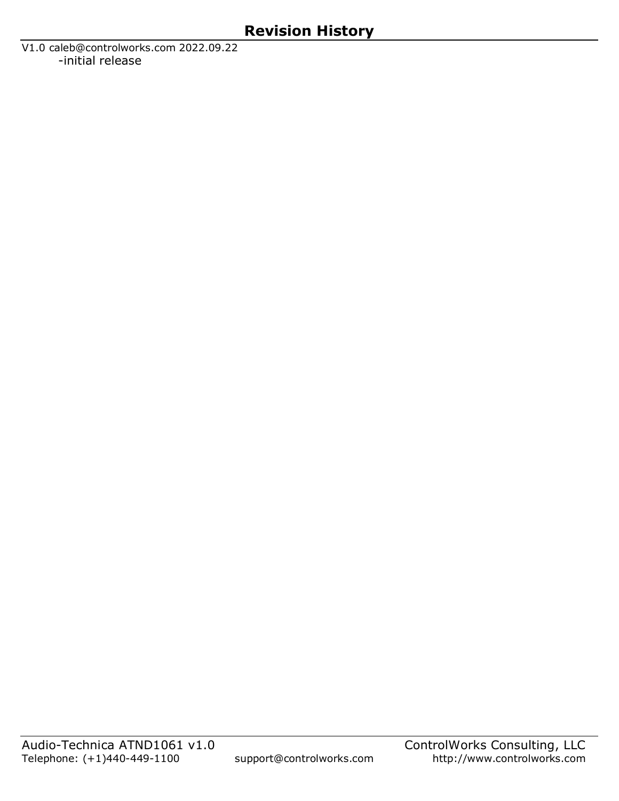<span id="page-7-0"></span>V1.0 caleb@controlworks.com 2022.09.22 -initial release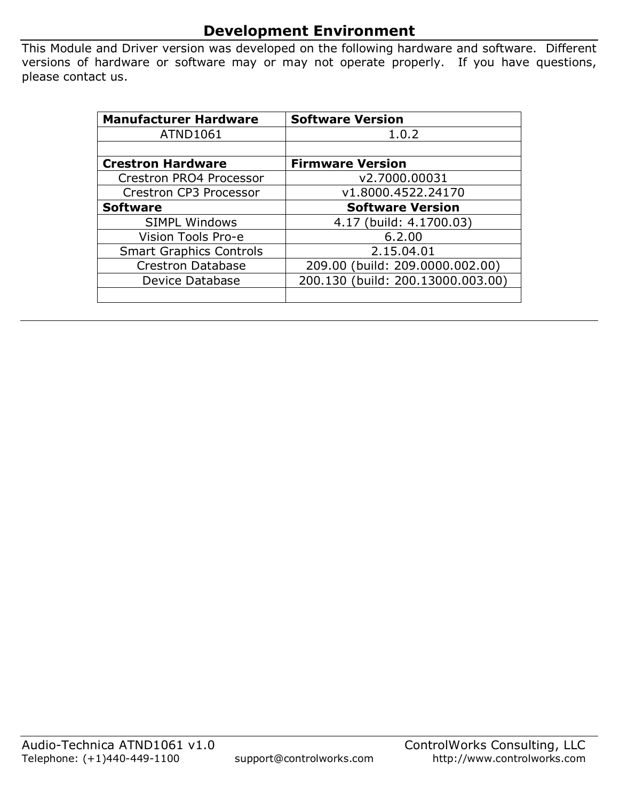# **Development Environment**

<span id="page-8-0"></span>This Module and Driver version was developed on the following hardware and software. Different versions of hardware or software may or may not operate properly. If you have questions, please contact us.

| <b>Manufacturer Hardware</b>   | <b>Software Version</b>           |
|--------------------------------|-----------------------------------|
| <b>ATND1061</b>                | 1.0.2                             |
|                                |                                   |
| <b>Crestron Hardware</b>       | <b>Firmware Version</b>           |
| Crestron PRO4 Processor        | v2.7000.00031                     |
| Crestron CP3 Processor         | v1.8000.4522.24170                |
| <b>Software</b>                | <b>Software Version</b>           |
| <b>SIMPL Windows</b>           | 4.17 (build: 4.1700.03)           |
| Vision Tools Pro-e             | 6.2.00                            |
| <b>Smart Graphics Controls</b> | 2.15.04.01                        |
| <b>Crestron Database</b>       | 209.00 (build: 209.0000.002.00)   |
| Device Database                | 200.130 (build: 200.13000.003.00) |
|                                |                                   |